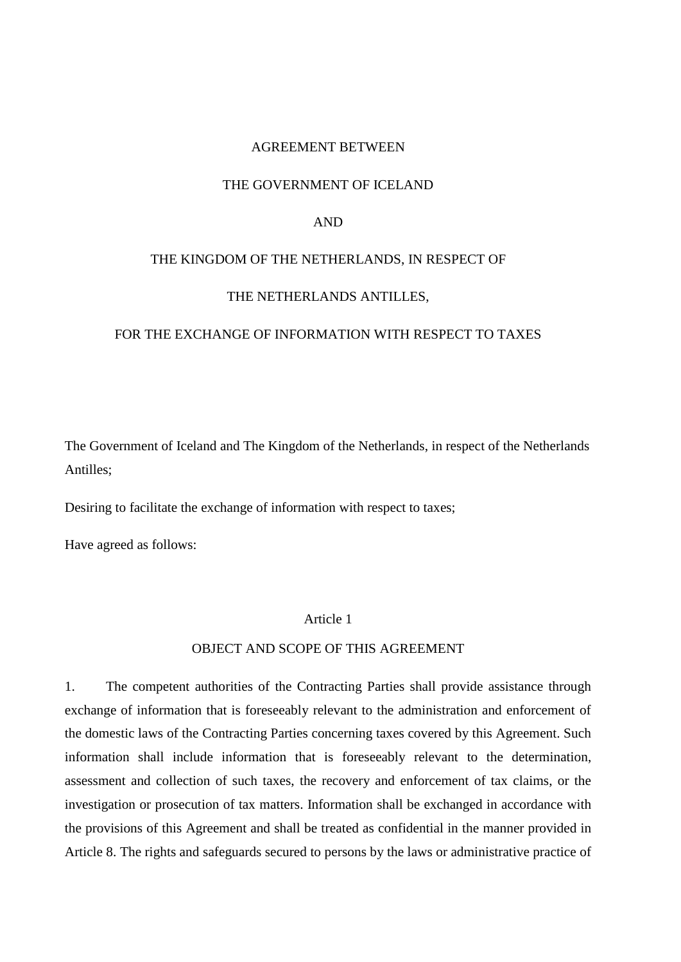## AGREEMENT BETWEEN

#### THE GOVERNMENT OF ICELAND

## AND

## THE KINGDOM OF THE NETHERLANDS, IN RESPECT OF

## THE NETHERLANDS ANTILLES,

## FOR THE EXCHANGE OF INFORMATION WITH RESPECT TO TAXES

The Government of Iceland and The Kingdom of the Netherlands, in respect of the Netherlands Antilles;

Desiring to facilitate the exchange of information with respect to taxes;

Have agreed as follows:

# Article 1

## OBJECT AND SCOPE OF THIS AGREEMENT

1. The competent authorities of the Contracting Parties shall provide assistance through exchange of information that is foreseeably relevant to the administration and enforcement of the domestic laws of the Contracting Parties concerning taxes covered by this Agreement. Such information shall include information that is foreseeably relevant to the determination, assessment and collection of such taxes, the recovery and enforcement of tax claims, or the investigation or prosecution of tax matters. Information shall be exchanged in accordance with the provisions of this Agreement and shall be treated as confidential in the manner provided in Article 8. The rights and safeguards secured to persons by the laws or administrative practice of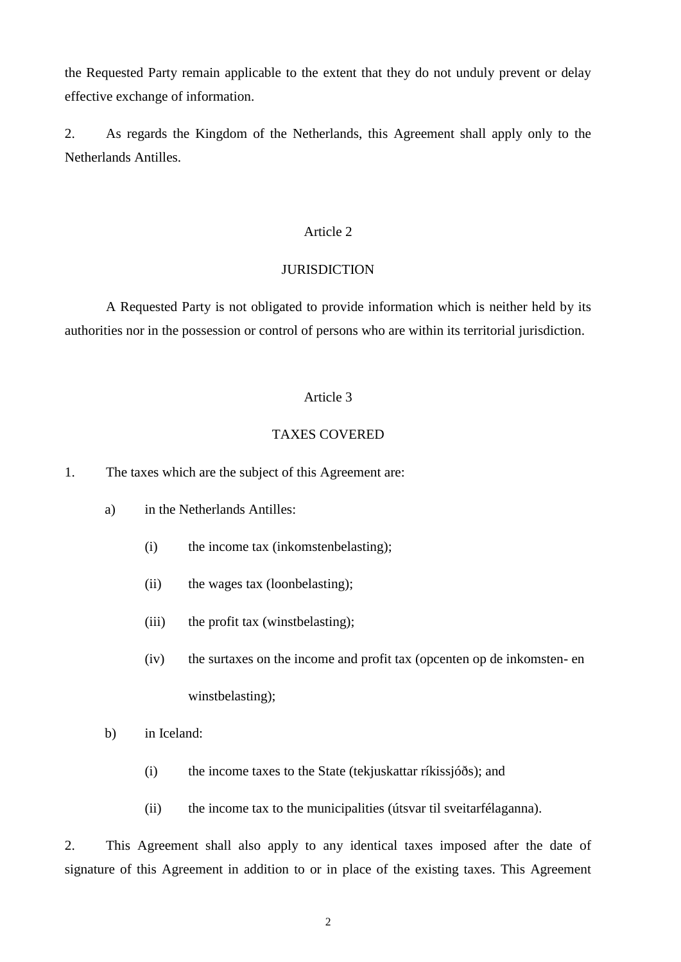the Requested Party remain applicable to the extent that they do not unduly prevent or delay effective exchange of information.

2. As regards the Kingdom of the Netherlands, this Agreement shall apply only to the Netherlands Antilles.

# Article 2

# **JURISDICTION**

A Requested Party is not obligated to provide information which is neither held by its authorities nor in the possession or control of persons who are within its territorial jurisdiction.

# Article 3

# TAXES COVERED

1. The taxes which are the subject of this Agreement are:

- a) in the Netherlands Antilles:
	- (i) the income tax (inkomstenbelasting);
	- (ii) the wages tax (loonbelasting);
	- (iii) the profit tax (winstbelasting);
	- (iv) the surtaxes on the income and profit tax (opcenten op de inkomsten- en winstbelasting);
- b) in Iceland:
	- (i) the income taxes to the State (tekjuskattar ríkissjóðs); and
	- (ii) the income tax to the municipalities (útsvar til sveitarfélaganna).

2. This Agreement shall also apply to any identical taxes imposed after the date of signature of this Agreement in addition to or in place of the existing taxes. This Agreement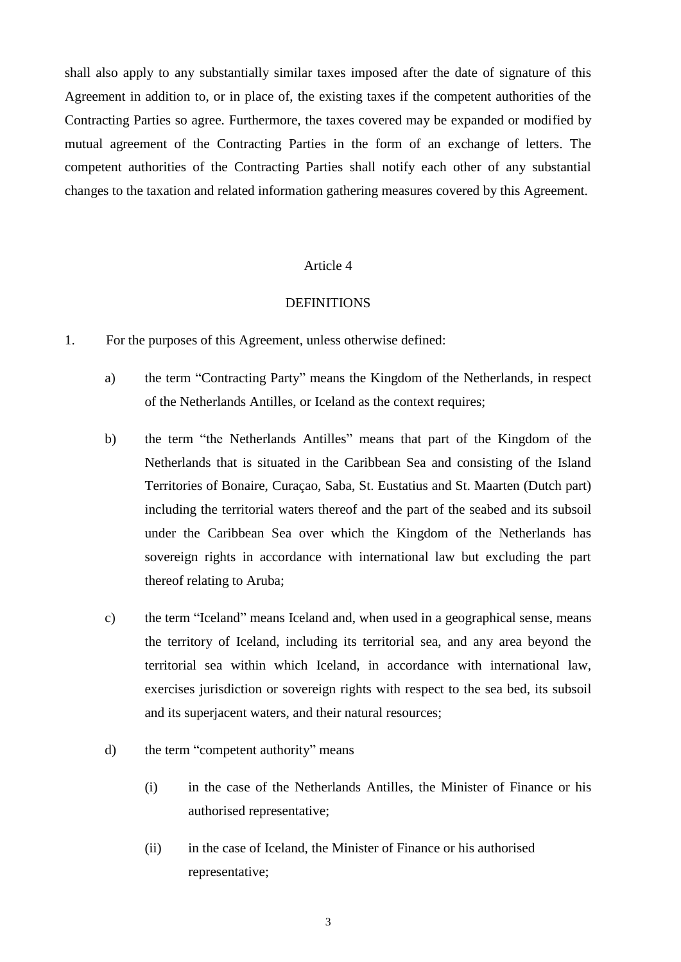shall also apply to any substantially similar taxes imposed after the date of signature of this Agreement in addition to, or in place of, the existing taxes if the competent authorities of the Contracting Parties so agree. Furthermore, the taxes covered may be expanded or modified by mutual agreement of the Contracting Parties in the form of an exchange of letters. The competent authorities of the Contracting Parties shall notify each other of any substantial changes to the taxation and related information gathering measures covered by this Agreement.

## Article 4

## DEFINITIONS

- 1. For the purposes of this Agreement, unless otherwise defined:
	- a) the term "Contracting Party" means the Kingdom of the Netherlands, in respect of the Netherlands Antilles, or Iceland as the context requires;
	- b) the term "the Netherlands Antilles" means that part of the Kingdom of the Netherlands that is situated in the Caribbean Sea and consisting of the Island Territories of Bonaire, Curaçao, Saba, St. Eustatius and St. Maarten (Dutch part) including the territorial waters thereof and the part of the seabed and its subsoil under the Caribbean Sea over which the Kingdom of the Netherlands has sovereign rights in accordance with international law but excluding the part thereof relating to Aruba;
	- c) the term "Iceland" means Iceland and, when used in a geographical sense, means the territory of Iceland, including its territorial sea, and any area beyond the territorial sea within which Iceland, in accordance with international law, exercises jurisdiction or sovereign rights with respect to the sea bed, its subsoil and its superjacent waters, and their natural resources;
	- d) the term "competent authority" means
		- (i) in the case of the Netherlands Antilles, the Minister of Finance or his authorised representative;
		- (ii) in the case of Iceland, the Minister of Finance or his authorised representative;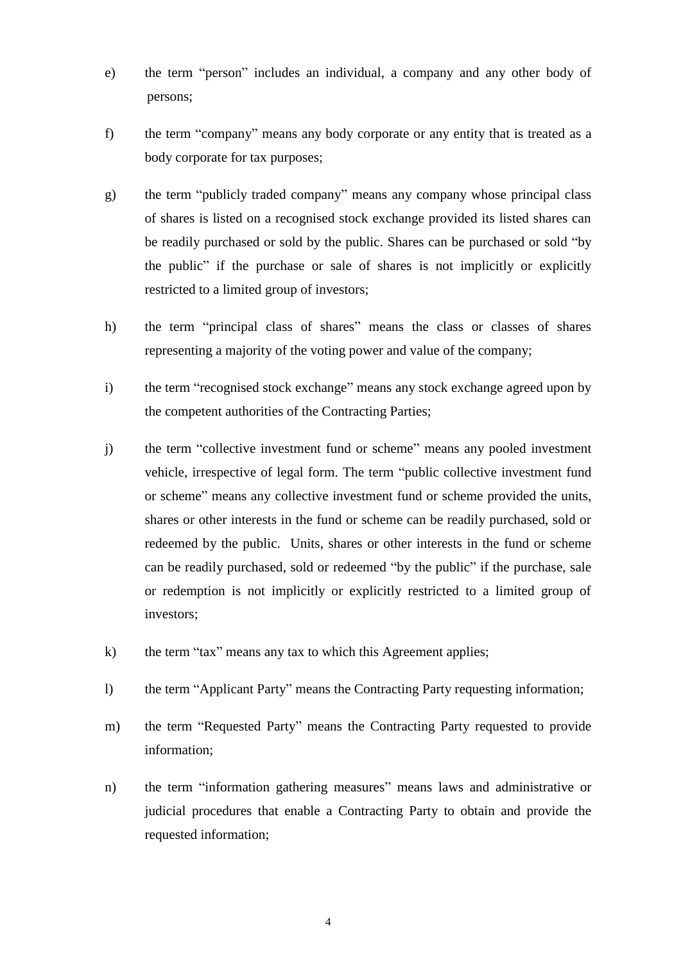- e) the term "person" includes an individual, a company and any other body of persons;
- f) the term "company" means any body corporate or any entity that is treated as a body corporate for tax purposes;
- g) the term "publicly traded company" means any company whose principal class of shares is listed on a recognised stock exchange provided its listed shares can be readily purchased or sold by the public. Shares can be purchased or sold "by the public" if the purchase or sale of shares is not implicitly or explicitly restricted to a limited group of investors;
- h) the term "principal class of shares" means the class or classes of shares representing a majority of the voting power and value of the company;
- i) the term "recognised stock exchange" means any stock exchange agreed upon by the competent authorities of the Contracting Parties;
- j) the term "collective investment fund or scheme" means any pooled investment vehicle, irrespective of legal form. The term "public collective investment fund or scheme" means any collective investment fund or scheme provided the units, shares or other interests in the fund or scheme can be readily purchased, sold or redeemed by the public. Units, shares or other interests in the fund or scheme can be readily purchased, sold or redeemed "by the public" if the purchase, sale or redemption is not implicitly or explicitly restricted to a limited group of investors;
- k) the term "tax" means any tax to which this Agreement applies;
- l) the term "Applicant Party" means the Contracting Party requesting information;
- m) the term "Requested Party" means the Contracting Party requested to provide information;
- n) the term "information gathering measures" means laws and administrative or judicial procedures that enable a Contracting Party to obtain and provide the requested information;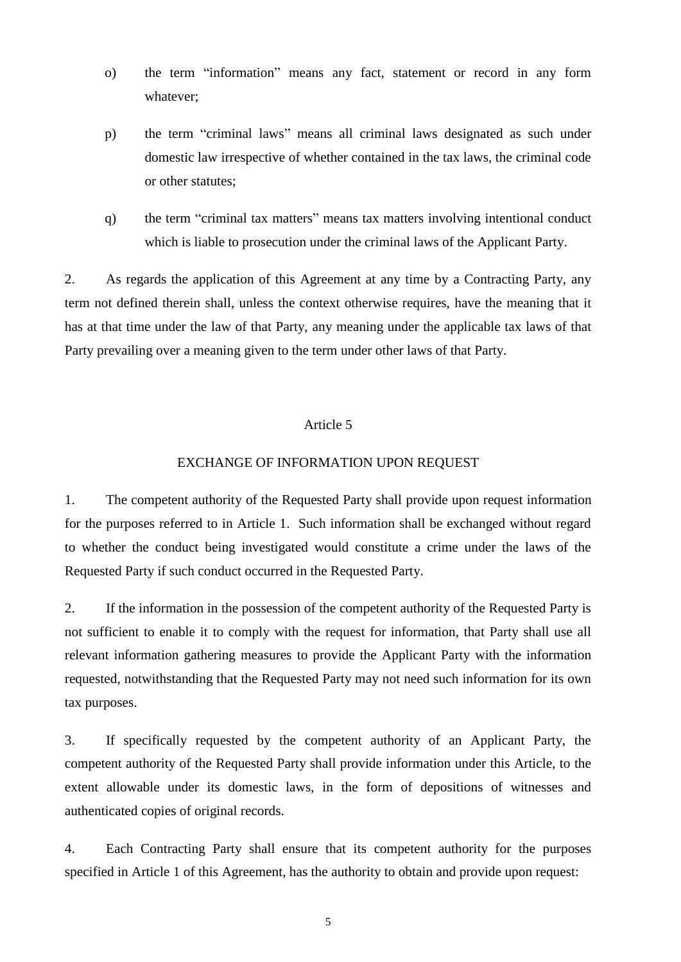- o) the term "information" means any fact, statement or record in any form whatever;
- p) the term "criminal laws" means all criminal laws designated as such under domestic law irrespective of whether contained in the tax laws, the criminal code or other statutes;
- q) the term "criminal tax matters" means tax matters involving intentional conduct which is liable to prosecution under the criminal laws of the Applicant Party.

2. As regards the application of this Agreement at any time by a Contracting Party, any term not defined therein shall, unless the context otherwise requires, have the meaning that it has at that time under the law of that Party, any meaning under the applicable tax laws of that Party prevailing over a meaning given to the term under other laws of that Party.

# Article 5

## EXCHANGE OF INFORMATION UPON REQUEST

1. The competent authority of the Requested Party shall provide upon request information for the purposes referred to in Article 1. Such information shall be exchanged without regard to whether the conduct being investigated would constitute a crime under the laws of the Requested Party if such conduct occurred in the Requested Party.

2. If the information in the possession of the competent authority of the Requested Party is not sufficient to enable it to comply with the request for information, that Party shall use all relevant information gathering measures to provide the Applicant Party with the information requested, notwithstanding that the Requested Party may not need such information for its own tax purposes.

3. If specifically requested by the competent authority of an Applicant Party, the competent authority of the Requested Party shall provide information under this Article, to the extent allowable under its domestic laws, in the form of depositions of witnesses and authenticated copies of original records.

4. Each Contracting Party shall ensure that its competent authority for the purposes specified in Article 1 of this Agreement, has the authority to obtain and provide upon request: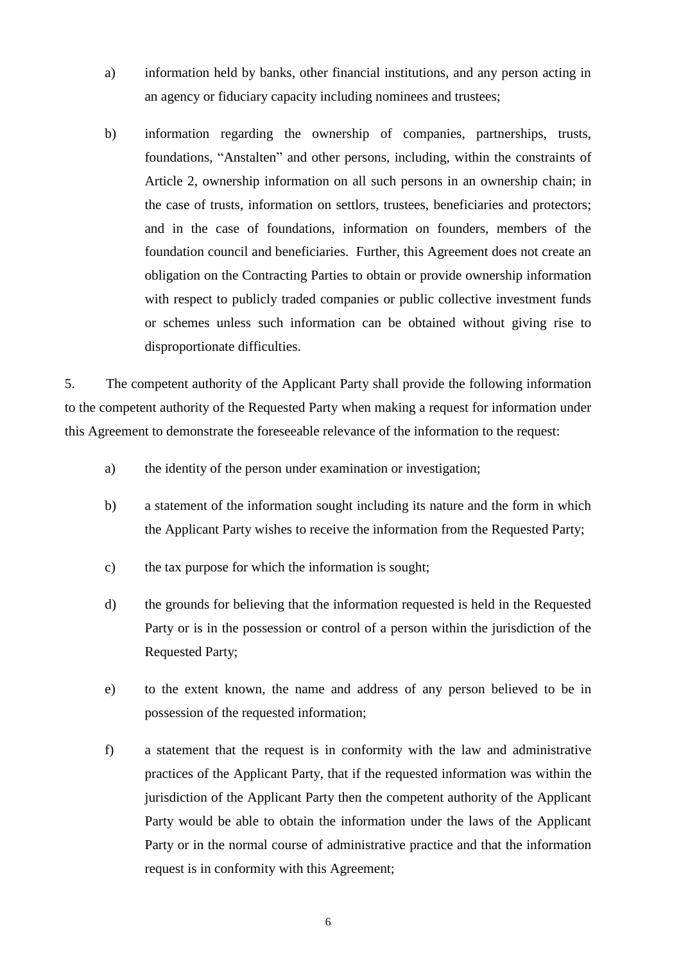- a) information held by banks, other financial institutions, and any person acting in an agency or fiduciary capacity including nominees and trustees;
- b) information regarding the ownership of companies, partnerships, trusts, foundations, "Anstalten" and other persons, including, within the constraints of Article 2, ownership information on all such persons in an ownership chain; in the case of trusts, information on settlors, trustees, beneficiaries and protectors; and in the case of foundations, information on founders, members of the foundation council and beneficiaries. Further, this Agreement does not create an obligation on the Contracting Parties to obtain or provide ownership information with respect to publicly traded companies or public collective investment funds or schemes unless such information can be obtained without giving rise to disproportionate difficulties.

5. The competent authority of the Applicant Party shall provide the following information to the competent authority of the Requested Party when making a request for information under this Agreement to demonstrate the foreseeable relevance of the information to the request:

- a) the identity of the person under examination or investigation;
- b) a statement of the information sought including its nature and the form in which the Applicant Party wishes to receive the information from the Requested Party;
- c) the tax purpose for which the information is sought;
- d) the grounds for believing that the information requested is held in the Requested Party or is in the possession or control of a person within the jurisdiction of the Requested Party;
- e) to the extent known, the name and address of any person believed to be in possession of the requested information;
- f) a statement that the request is in conformity with the law and administrative practices of the Applicant Party, that if the requested information was within the jurisdiction of the Applicant Party then the competent authority of the Applicant Party would be able to obtain the information under the laws of the Applicant Party or in the normal course of administrative practice and that the information request is in conformity with this Agreement;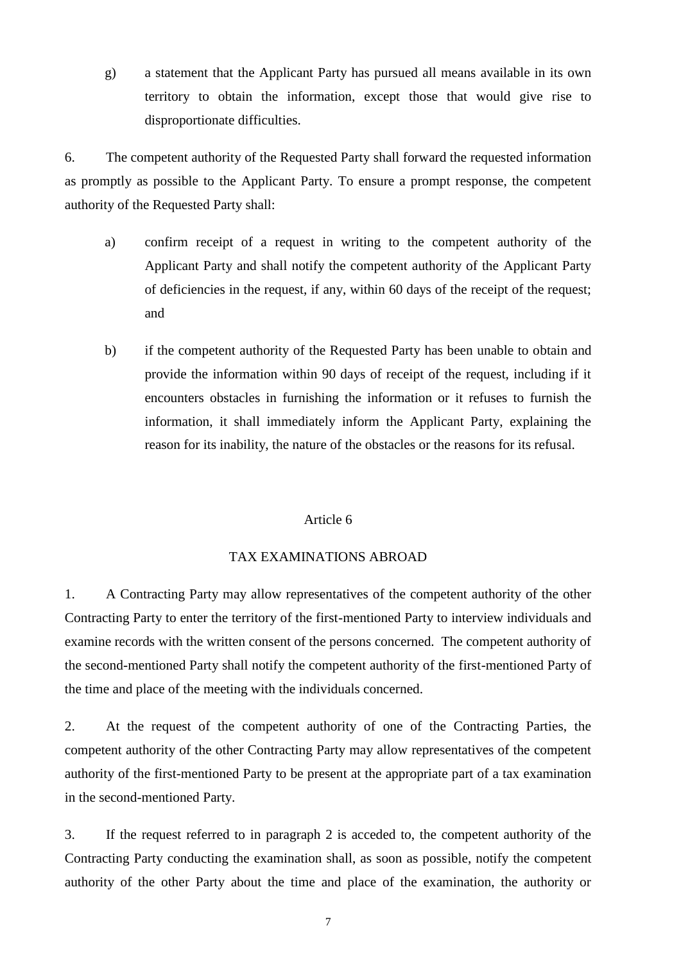g) a statement that the Applicant Party has pursued all means available in its own territory to obtain the information, except those that would give rise to disproportionate difficulties.

6. The competent authority of the Requested Party shall forward the requested information as promptly as possible to the Applicant Party. To ensure a prompt response, the competent authority of the Requested Party shall:

- a) confirm receipt of a request in writing to the competent authority of the Applicant Party and shall notify the competent authority of the Applicant Party of deficiencies in the request, if any, within 60 days of the receipt of the request; and
- b) if the competent authority of the Requested Party has been unable to obtain and provide the information within 90 days of receipt of the request, including if it encounters obstacles in furnishing the information or it refuses to furnish the information, it shall immediately inform the Applicant Party, explaining the reason for its inability, the nature of the obstacles or the reasons for its refusal.

# Article 6

## TAX EXAMINATIONS ABROAD

1. A Contracting Party may allow representatives of the competent authority of the other Contracting Party to enter the territory of the first-mentioned Party to interview individuals and examine records with the written consent of the persons concerned. The competent authority of the second-mentioned Party shall notify the competent authority of the first-mentioned Party of the time and place of the meeting with the individuals concerned.

2. At the request of the competent authority of one of the Contracting Parties, the competent authority of the other Contracting Party may allow representatives of the competent authority of the first-mentioned Party to be present at the appropriate part of a tax examination in the second-mentioned Party.

3. If the request referred to in paragraph 2 is acceded to, the competent authority of the Contracting Party conducting the examination shall, as soon as possible, notify the competent authority of the other Party about the time and place of the examination, the authority or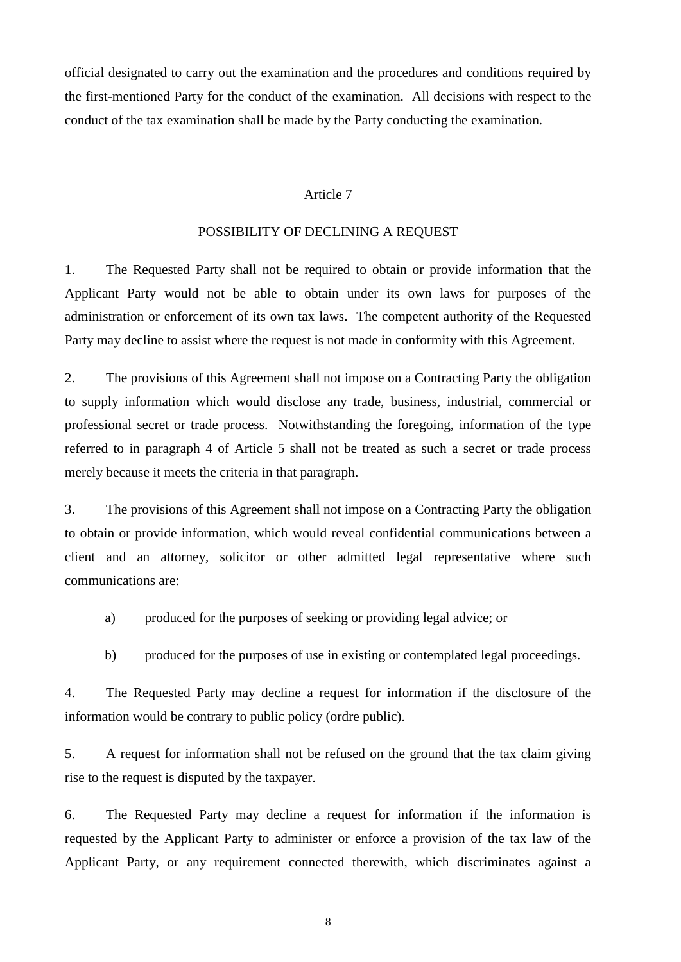official designated to carry out the examination and the procedures and conditions required by the first-mentioned Party for the conduct of the examination. All decisions with respect to the conduct of the tax examination shall be made by the Party conducting the examination.

## Article 7

### POSSIBILITY OF DECLINING A REQUEST

1. The Requested Party shall not be required to obtain or provide information that the Applicant Party would not be able to obtain under its own laws for purposes of the administration or enforcement of its own tax laws. The competent authority of the Requested Party may decline to assist where the request is not made in conformity with this Agreement.

2. The provisions of this Agreement shall not impose on a Contracting Party the obligation to supply information which would disclose any trade, business, industrial, commercial or professional secret or trade process. Notwithstanding the foregoing, information of the type referred to in paragraph 4 of Article 5 shall not be treated as such a secret or trade process merely because it meets the criteria in that paragraph.

3. The provisions of this Agreement shall not impose on a Contracting Party the obligation to obtain or provide information, which would reveal confidential communications between a client and an attorney, solicitor or other admitted legal representative where such communications are:

a) produced for the purposes of seeking or providing legal advice; or

b) produced for the purposes of use in existing or contemplated legal proceedings.

4. The Requested Party may decline a request for information if the disclosure of the information would be contrary to public policy (ordre public).

5. A request for information shall not be refused on the ground that the tax claim giving rise to the request is disputed by the taxpayer.

6. The Requested Party may decline a request for information if the information is requested by the Applicant Party to administer or enforce a provision of the tax law of the Applicant Party, or any requirement connected therewith, which discriminates against a

8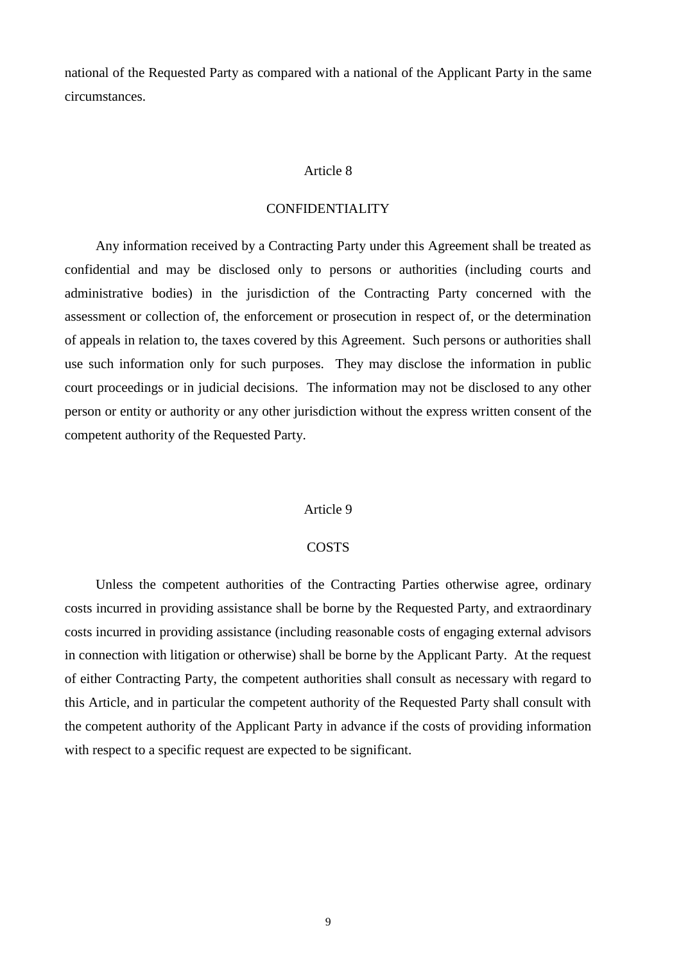national of the Requested Party as compared with a national of the Applicant Party in the same circumstances.

### Article 8

## CONFIDENTIALITY

Any information received by a Contracting Party under this Agreement shall be treated as confidential and may be disclosed only to persons or authorities (including courts and administrative bodies) in the jurisdiction of the Contracting Party concerned with the assessment or collection of, the enforcement or prosecution in respect of, or the determination of appeals in relation to, the taxes covered by this Agreement. Such persons or authorities shall use such information only for such purposes. They may disclose the information in public court proceedings or in judicial decisions. The information may not be disclosed to any other person or entity or authority or any other jurisdiction without the express written consent of the competent authority of the Requested Party.

#### Article 9

#### **COSTS**

Unless the competent authorities of the Contracting Parties otherwise agree, ordinary costs incurred in providing assistance shall be borne by the Requested Party, and extraordinary costs incurred in providing assistance (including reasonable costs of engaging external advisors in connection with litigation or otherwise) shall be borne by the Applicant Party. At the request of either Contracting Party, the competent authorities shall consult as necessary with regard to this Article, and in particular the competent authority of the Requested Party shall consult with the competent authority of the Applicant Party in advance if the costs of providing information with respect to a specific request are expected to be significant.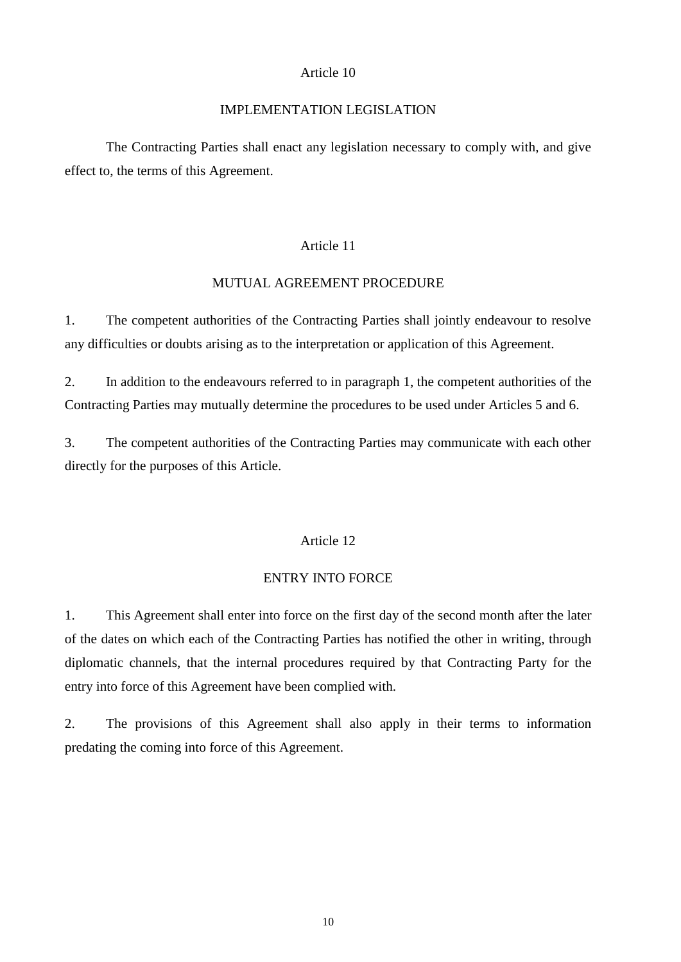### Article 10

## IMPLEMENTATION LEGISLATION

The Contracting Parties shall enact any legislation necessary to comply with, and give effect to, the terms of this Agreement.

# Article 11

## MUTUAL AGREEMENT PROCEDURE

1. The competent authorities of the Contracting Parties shall jointly endeavour to resolve any difficulties or doubts arising as to the interpretation or application of this Agreement.

2. In addition to the endeavours referred to in paragraph 1, the competent authorities of the Contracting Parties may mutually determine the procedures to be used under Articles 5 and 6.

3. The competent authorities of the Contracting Parties may communicate with each other directly for the purposes of this Article.

## Article 12

#### ENTRY INTO FORCE

1. This Agreement shall enter into force on the first day of the second month after the later of the dates on which each of the Contracting Parties has notified the other in writing, through diplomatic channels, that the internal procedures required by that Contracting Party for the entry into force of this Agreement have been complied with.

2. The provisions of this Agreement shall also apply in their terms to information predating the coming into force of this Agreement.